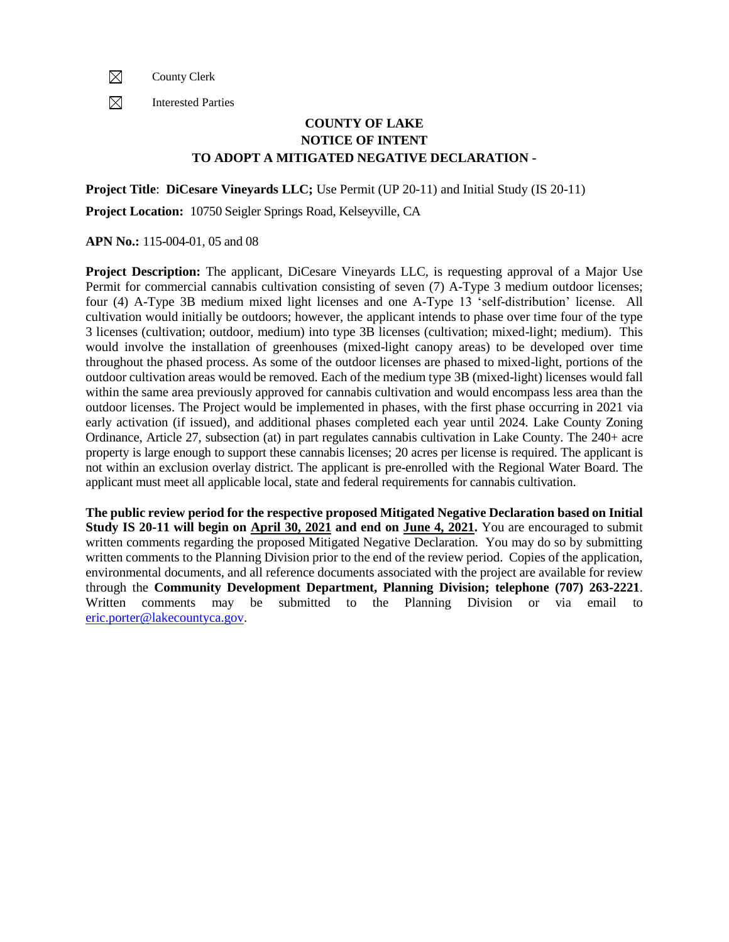$\boxtimes$ County Clerk

 $\boxtimes$ Interested Parties

## **COUNTY OF LAKE NOTICE OF INTENT TO ADOPT A MITIGATED NEGATIVE DECLARATION -**

**Project Title**: **DiCesare Vineyards LLC;** Use Permit (UP 20-11) and Initial Study (IS 20-11)

**Project Location:** 10750 Seigler Springs Road, Kelseyville, CA

## **APN No.:** 115-004-01, 05 and 08

**Project Description:** The applicant, DiCesare Vineyards LLC, is requesting approval of a Major Use Permit for commercial cannabis cultivation consisting of seven (7) A-Type 3 medium outdoor licenses; four (4) A-Type 3B medium mixed light licenses and one A-Type 13 'self-distribution' license. All cultivation would initially be outdoors; however, the applicant intends to phase over time four of the type 3 licenses (cultivation; outdoor, medium) into type 3B licenses (cultivation; mixed-light; medium). This would involve the installation of greenhouses (mixed-light canopy areas) to be developed over time throughout the phased process. As some of the outdoor licenses are phased to mixed-light, portions of the outdoor cultivation areas would be removed. Each of the medium type 3B (mixed-light) licenses would fall within the same area previously approved for cannabis cultivation and would encompass less area than the outdoor licenses. The Project would be implemented in phases, with the first phase occurring in 2021 via early activation (if issued), and additional phases completed each year until 2024. Lake County Zoning Ordinance, Article 27, subsection (at) in part regulates cannabis cultivation in Lake County. The 240+ acre property is large enough to support these cannabis licenses; 20 acres per license is required. The applicant is not within an exclusion overlay district. The applicant is pre-enrolled with the Regional Water Board. The applicant must meet all applicable local, state and federal requirements for cannabis cultivation.

**The public review period for the respective proposed Mitigated Negative Declaration based on Initial Study IS 20-11 will begin on April 30, 2021 and end on June 4, 2021.** You are encouraged to submit written comments regarding the proposed Mitigated Negative Declaration. You may do so by submitting written comments to the Planning Division prior to the end of the review period. Copies of the application, environmental documents, and all reference documents associated with the project are available for review through the **Community Development Department, Planning Division; telephone (707) 263-2221**. Written comments may be submitted to the Planning Division or via email to [eric.porter@lakecountyca.gov.](mailto:eric.porter@lakecountyca.gov)